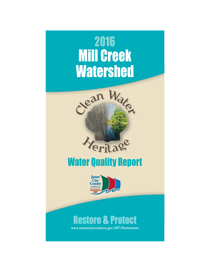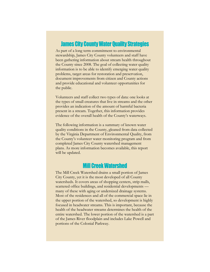### **James City County Water Quality Strategies**

As part of a long term commitment to environmental stewardship, James City County volunteers and staff have been gathering information about stream health throughout the County since 2008. The goal of collecting water quality information is to be able to identify emerging water quality problems, target areas for restoration and preservation, document improvements from citizen and County actions and provide educational and volunteer opportunities for the public.

Volunteers and staff collect two types of data: one looks at the types of small creatures that live in streams and the other provides an indication of the amount of harmful bacteria present in a stream. Together, this information provides evidence of the overall health of the County's waterways.

The following information is a summary of known water quality conditions in the County, gleaned from data collected by the Virginia Department of Environmental Quality, from the County's volunteer water monitoring program and from completed James City County watershed management plans. As more information becomes available, this report will be updated.

## **Mill Creek Watershed**

The Mill Creek Watershed drains a small portion of James City County, yet it is the most developed of all County watersheds. It covers areas of shopping centers, strip malls, scattered office buildings, and residential developments many of these with aging or undersized drainage systems. Most of the residences and all of the commercial space lie in the upper portion of the watershed, so development is highly focused in headwater streams. This is important, because the health of the headwater streams determines the health of the entire watershed. The lower portion of the watershed is a part of the James River floodplain and includes Lake Powell and portions of the Colonial Parkway.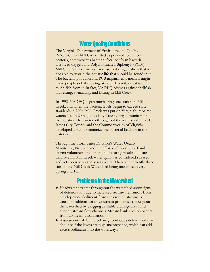### **Water Quality Conditions**

The Virginia Department of Environmental Quality (VADEQ) has Mill Creek listed as polluted for: e. Coli bacteria, enterococcus bacteria, fecal coliform bacteria, dissolved oxygen and Polychlorinated Biphenyls (PCBs). Mill Creek's impairments for dissolved oxygen show that it's not able to sustain the aquatic life that should be found in it. The bacteria pollution and PCB impairments mean it might make people sick if they ingest water from it, or eat too much fish from it. In fact, VADEQ advises against shellfish harvesting, swimming, and fishing in Mill Creek.

In 1992, VADEQ began monitoring one station in Mill Creek, and when the bacteria levels began to exceed state standards in 2006, Mill Creek was put on Virginia's impaired waters list. In 2009, James City County began monitoring five locations for bacteria throughout the watershed. In 2010 James City County and the Commonwealth of Virginia developed a plan to minimize the bacterial loadings in the watershed.

Through the Stormwater Division's Water Quality Monitoring Program and the efforts of County staff and citizen volunteers, the benthic monitoring results indicate that, overall, Mill Creek water quality is considered stressed and gets poor scores in assessments. There are currently three sites in the Mill Creek Watershed being monitored every Spring and Fall.

# **Problems in the Watershed**

- Headwater streams throughout the watershed show signs of deterioration due to increased stormwater runoff from development. Sediment from the eroding streams is causing problems for downstream properties throughout the watershed by clogging available drainage areas and altering stream flow channels. Stream bank erosion occurs from upstream urbanization.
- Assessments of Mill Creek neighborhoods determined that about half the lawns are high-maintenance, which can add excess pollutants into the waterways.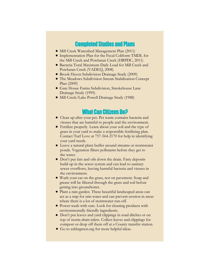## **Completed Studies and Plans**

- Mill Creek Watershed Management Plan (2011)
- Implementation Plan for the Fecal Coliform TMDL for the Mill Creek and Powhatan Creek (HRPDC, 2011)
- Bacteria Total Maximum Daily Load for Mill Creek and Powhatan Creek (VADEQ, 2008)
- Brook Haven Subdivision Drainage Study (2009)
- The Meadows Subdivision Stream Stabilization Concept Plan (2009)
- Gate House Farms Subdivision, Smokehouse Lane Drainage Study (1995)
- Mill Creek/Lake Powell Drainage Study (1988)

### **What Can Citizens Do?**

- Clean up after your pet. Pet waste contains bacteria and viruses that are harmful to people and the environment.
- Fertilize properly. Learn about your soil and the type of grass in your yard to make a responsible fertilizing plan. Contact Turf Love at 757-564-2170 for help in identifying your yard needs.
- Leave a natural plant buffer around streams or stormwater ponds. Vegetation filters pollutants before they get to the water.
- Don't put fats and oils down the drain. Fatty deposits build up in the sewer system and can lead to sanitary sewer overflows, leaving harmful bacteria and viruses in the environment.
- Wash your car on the grass, not on pavement. Soap and grease will be filtered through the grass and soil before getting into groundwater.
- Plant a rain garden. These beautiful landscaped areas can act as a trap for rain water and can prevent erosion in areas where there is a lot of stormwater run-off.
- Power-wash with care. Look for cleaning products with environmentally-friendly ingredients.
- Don't put leaves and yard clippings in road ditches or on top of storm-drain inlets. Collect leaves and clippings for compost or drop off them off at a County transfer station.
- Go to askhrgreen.org for more helpful ideas.